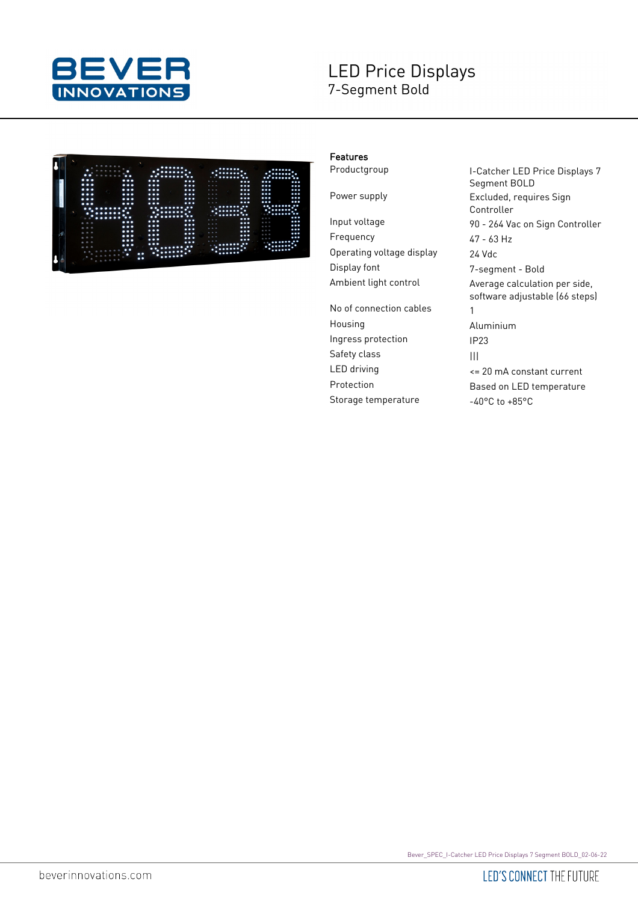

## **LED Price Displays** 7-Segment Bold

|                                  | ٠<br>٠<br><br>$\bullet$<br><br>$\bullet\bullet$<br>$\bullet$ . | <br>٠<br>٠<br><br>$6 - 6$                                                                                                                               | <br>٠<br>٠<br>$$                                             |  |
|----------------------------------|----------------------------------------------------------------|---------------------------------------------------------------------------------------------------------------------------------------------------------|--------------------------------------------------------------|--|
|                                  | $\bullet\bullet\bullet$<br>$\cdots$                            | <br>$\cdot\cdot$<br>6. 6. 6                                                                                                                             |                                                              |  |
| .                                |                                                                |                                                                                                                                                         | $\cdots$<br>$\cdots$                                         |  |
|                                  | $\bullet\bullet\bullet$                                        | 0.0.0<br>$\bullet\bullet\bullet$                                                                                                                        | $\cdots$<br>$\cdots$                                         |  |
| $\bullet$                        | $\bullet\bullet\bullet$<br>$\bullet\bullet\bullet$             | <br>0.0.0                                                                                                                                               | $\cdots$<br>$\ddotsc$                                        |  |
| . .                              | <br>$\bullet\bullet\bullet$                                    | $\cdots$<br>0.0.0                                                                                                                                       | $\ddotsc$<br>$\bullet\bullet\bullet$                         |  |
| ٠                                | $\cdots$<br>$\bullet\bullet\bullet$                            | $\bullet\bullet\bullet$<br>0.0.0                                                                                                                        | $\ddotsc$<br>$\bullet\bullet\bullet$                         |  |
|                                  | $\cdots$<br>$\cdots$                                           | $\cdots$<br>0.0.0                                                                                                                                       | <br>$\cdots$                                                 |  |
| ٠<br>٠<br>٠<br>٠                 | <br>$\cdot \cdot$<br>- 10<br>٠<br>٠<br><br>۰.                  | $\bullet$<br><br>٠.<br><br>٠<br>$\bullet$<br><br>. .                                                                                                    | $\cdots$<br><br>$\bullet\bullet$<br>×.<br><br>٠<br><br>49.49 |  |
| . .                              | ٠<br><br>$\bullet$                                             | $\bullet\bullet\bullet$<br>889                                                                                                                          | <br>8.8.6                                                    |  |
| $\cdots$<br>0.0.0                | $\bullet\bullet\bullet$<br>$\cdots$                            | $\cdots$<br>0.0.0                                                                                                                                       | $\ddotsc$<br>0.00                                            |  |
| $\cdots$<br>不去の                  | $\cdots$<br>$\cdots$                                           | $\cdots$<br>$m - m - m$                                                                                                                                 | $\cdots$<br>0.0.0                                            |  |
|                                  | $\cdots$                                                       |                                                                                                                                                         | $\cdots$<br>655                                              |  |
| ٠                                | $\bullet\bullet\bullet$                                        |                                                                                                                                                         | $\cdots$<br>0.0.0                                            |  |
|                                  | $\cdots$                                                       |                                                                                                                                                         | $\cdots$<br>.                                                |  |
|                                  |                                                                |                                                                                                                                                         | $\bullet$<br>$-1$<br>٠                                       |  |
|                                  | $\bullet$                                                      | ۰<br>٠<br>۰۰.                                                                                                                                           |                                                              |  |
| ×<br>$-6.6$<br>                  | ٠                                                              |                                                                                                                                                         |                                                              |  |
| B. B. B<br><b>B. D.</b><br>8.8.8 | $\cdots$<br>$\cdots$<br>$\cdots$<br>$\cdots$<br>$\cdots$       | $\bullet\bullet\bullet$<br>$-0.0$<br>$\bullet\bullet\bullet$<br>0.0.0<br>$\bullet\bullet\bullet$<br>0.0.0<br>$\bullet \bullet$<br>$-0$<br>$\cdots$<br>٠ | <br>٠<br>                                                    |  |

## Features

Frequency 47 - 63 Hz Operating voltage display 24 Vdc Display font 7-segment - Bold

No of connection cables 1 Housing Aluminium Ingress protection IP23 Safety class and all all the same state of the same state of the same state of the same state of the same state Storage temperature -40°C to +85°C

Productgroup **I-Catcher LED Price Displays 7** Segment BOLD Power supply **Excluded**, requires Sign Controller Input voltage 90 - 264 Vac on Sign Controller Ambient light control **Average calculation per side**, software adjustable (66 steps) LED driving <= 20 mA constant current Protection Based on LED temperature